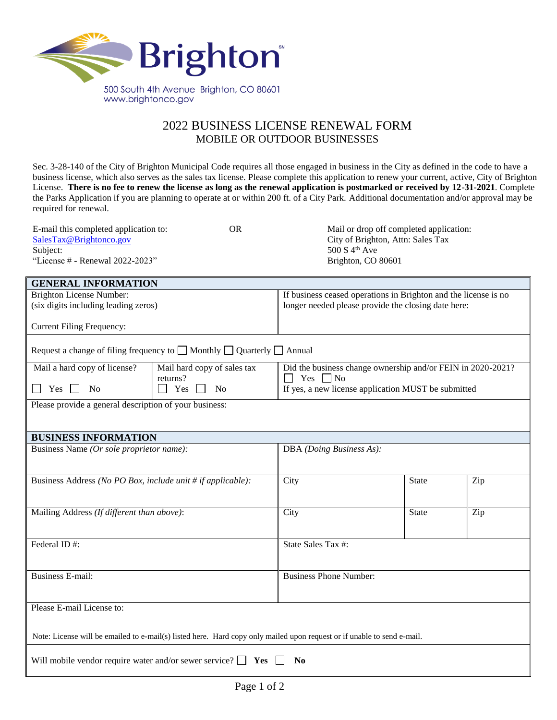

## 2022 BUSINESS LICENSE RENEWAL FORM MOBILE OR OUTDOOR BUSINESSES

Sec. 3-28-140 of the City of Brighton Municipal Code requires all those engaged in business in the City as defined in the code to have a business license, which also serves as the sales tax license. Please complete this application to renew your current, active, City of Brighton License. **There is no fee to renew the license as long as the renewal application is postmarked or received by 12-31-2021**. Complete the Parks Application if you are planning to operate at or within 200 ft. of a City Park. Additional documentation and/or approval may be required for renewal.

| E-mail this completed application to: | OR | Mail or drop off completed application: |
|---------------------------------------|----|-----------------------------------------|
| SalesTax@Brightonco.gov               |    | City of Brighton, Attn: Sales Tax       |
| Subject:                              |    | 500 S $4^{\text{th}}$ Ave               |
| "License $#$ - Renewal 2022-2023"     |    | Brighton, CO 80601                      |

| <b>GENERAL INFORMATION</b>                                                                                              |                                                                                       |                                                                                                                        |       |     |
|-------------------------------------------------------------------------------------------------------------------------|---------------------------------------------------------------------------------------|------------------------------------------------------------------------------------------------------------------------|-------|-----|
| <b>Brighton License Number:</b><br>(six digits including leading zeros)                                                 |                                                                                       | If business ceased operations in Brighton and the license is no<br>longer needed please provide the closing date here: |       |     |
|                                                                                                                         |                                                                                       |                                                                                                                        |       |     |
| <b>Current Filing Frequency:</b>                                                                                        |                                                                                       |                                                                                                                        |       |     |
|                                                                                                                         | Request a change of filing frequency to $\Box$ Monthly $\Box$ Quarterly $\Box$ Annual |                                                                                                                        |       |     |
| Mail a hard copy of license?                                                                                            | Mail hard copy of sales tax<br>returns?                                               | Did the business change ownership and/or FEIN in 2020-2021?<br>Yes $\n $ No                                            |       |     |
| $Yes \ \Box$<br><b>No</b>                                                                                               | Yes<br>No<br>$\blacksquare$                                                           | If yes, a new license application MUST be submitted                                                                    |       |     |
| Please provide a general description of your business:                                                                  |                                                                                       |                                                                                                                        |       |     |
|                                                                                                                         |                                                                                       |                                                                                                                        |       |     |
| <b>BUSINESS INFORMATION</b>                                                                                             |                                                                                       |                                                                                                                        |       |     |
| Business Name (Or sole proprietor name):                                                                                |                                                                                       | DBA (Doing Business As):                                                                                               |       |     |
|                                                                                                                         |                                                                                       |                                                                                                                        |       |     |
| Business Address (No PO Box, include unit # if applicable):                                                             |                                                                                       | City                                                                                                                   | State | Zip |
|                                                                                                                         |                                                                                       |                                                                                                                        |       |     |
| Mailing Address (If different than above):                                                                              |                                                                                       | City                                                                                                                   | State | Zip |
|                                                                                                                         |                                                                                       |                                                                                                                        |       |     |
| Federal ID#:                                                                                                            |                                                                                       | State Sales Tax #:                                                                                                     |       |     |
|                                                                                                                         |                                                                                       |                                                                                                                        |       |     |
| <b>Business E-mail:</b>                                                                                                 |                                                                                       | <b>Business Phone Number:</b>                                                                                          |       |     |
|                                                                                                                         |                                                                                       |                                                                                                                        |       |     |
| Please E-mail License to:                                                                                               |                                                                                       |                                                                                                                        |       |     |
|                                                                                                                         |                                                                                       |                                                                                                                        |       |     |
| Note: License will be emailed to e-mail(s) listed here. Hard copy only mailed upon request or if unable to send e-mail. |                                                                                       |                                                                                                                        |       |     |
| Will mobile vendor require water and/or sewer service? $\Box$ Yes $\Box$<br>N <sub>0</sub>                              |                                                                                       |                                                                                                                        |       |     |